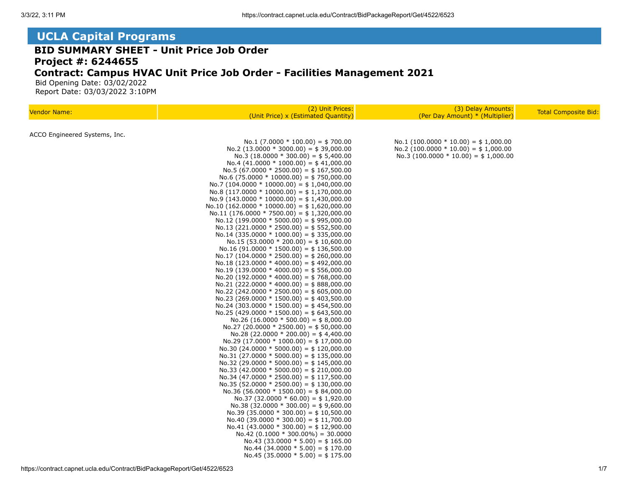## **UCLA Capital Programs**

## **BID SUMMARY SHEET - Unit Price Job Order Project #: 6244655 Contract: Campus HVAC Unit Price Job Order - Facilities Management 2021**

 Bid Opening Date: 03/02/2022 Report Date: 03/03/2022 3:10PM

| <b>Vendor Name:</b>           | (2) Unit Prices:<br>(Unit Price) x (Estimated Quantity)                                 | (3) Delay Amounts:<br>(Per Day Amount) * (Multiplier)                           | <b>Total Composite Bid:</b> |
|-------------------------------|-----------------------------------------------------------------------------------------|---------------------------------------------------------------------------------|-----------------------------|
|                               |                                                                                         |                                                                                 |                             |
| ACCO Engineered Systems, Inc. |                                                                                         |                                                                                 |                             |
|                               | No.1 (7.0000 $*$ 100.00) = \$700.00                                                     | $No.1 (100.0000 * 10.00) = $1,000.00$<br>No.2 (100.0000 $*$ 10.00) = \$1,000.00 |                             |
|                               | $No.2$ (13.0000 $*$ 3000.00) = \$39,000.00<br>No.3 (18.0000 $*$ 300.00) = \$5,400.00    | No.3 (100.0000 $*$ 10.00) = \$1,000.00                                          |                             |
|                               | $No.4$ (41.0000 $*$ 1000.00) = \$41,000.00                                              |                                                                                 |                             |
|                               | No.5 (67.0000 * 2500.00) = \$167,500.00                                                 |                                                                                 |                             |
|                               | No.6 (75.0000 $*$ 10000.00) = \$750,000.00                                              |                                                                                 |                             |
|                               | No.7 (104.0000 * 10000.00) = \$ 1,040,000.00                                            |                                                                                 |                             |
|                               | No.8 $(117.0000 * 10000.00) = $ 1,170,000.00$                                           |                                                                                 |                             |
|                               | No.9 $(143.0000 * 10000.00) = $1,430,000.00$                                            |                                                                                 |                             |
|                               | No.10 (162.0000 * 10000.00) = \$ 1,620,000.00                                           |                                                                                 |                             |
|                               | No.11 (176.0000 * 7500.00) = \$1,320,000.00                                             |                                                                                 |                             |
|                               | $No.12$ (199.0000 * 5000.00) = \$995,000.00                                             |                                                                                 |                             |
|                               | No.13 (221.0000 * 2500.00) = \$ 552,500.00                                              |                                                                                 |                             |
|                               | No.14 (335.0000 $*$ 1000.00) = \$335,000.00                                             |                                                                                 |                             |
|                               | No.15 (53.0000 $*$ 200.00) = \$10,600.00<br>No.16 (91.0000 $*$ 1500.00) = \$ 136,500.00 |                                                                                 |                             |
|                               | $No.17 (104.0000 * 2500.00) = $260,000.00$                                              |                                                                                 |                             |
|                               | $No.18$ (123.0000 * 4000.00) = \$492,000.00                                             |                                                                                 |                             |
|                               | No.19 (139.0000 * 4000.00) = \$556,000.00                                               |                                                                                 |                             |
|                               | No.20 (192.0000 * 4000.00) = \$ 768,000.00                                              |                                                                                 |                             |
|                               | $No.21 (222.0000 * 4000.00) = $888,000.00$                                              |                                                                                 |                             |
|                               | No.22 (242.0000 * 2500.00) = \$605,000.00                                               |                                                                                 |                             |
|                               | No.23 (269.0000 $*$ 1500.00) = \$403,500.00                                             |                                                                                 |                             |
|                               | No.24 (303.0000 $*$ 1500.00) = \$454,500.00                                             |                                                                                 |                             |
|                               | No.25 (429.0000 $*$ 1500.00) = \$643,500.00                                             |                                                                                 |                             |
|                               | $No.26$ (16.0000 $*$ 500.00) = \$8,000.00                                               |                                                                                 |                             |
|                               | $No.27 (20.0000 * 2500.00) = $50,000.00$<br>No.28 (22.0000 $*$ 200.00) = \$4,400.00     |                                                                                 |                             |
|                               | $No.29$ (17.0000 * 1000.00) = \$ 17,000.00                                              |                                                                                 |                             |
|                               | No.30 (24.0000 * 5000.00) = \$ 120,000.00                                               |                                                                                 |                             |
|                               | No.31 (27.0000 * 5000.00) = \$ 135,000.00                                               |                                                                                 |                             |
|                               | No.32 (29.0000 $*$ 5000.00) = \$145,000.00                                              |                                                                                 |                             |
|                               | No.33 (42.0000 $*$ 5000.00) = \$ 210,000.00                                             |                                                                                 |                             |
|                               | No.34 (47.0000 * 2500.00) = \$ 117,500.00                                               |                                                                                 |                             |
|                               | No.35 (52.0000 * 2500.00) = \$ 130,000.00                                               |                                                                                 |                             |
|                               | $No.36$ (56.0000 $*$ 1500.00) = \$84,000.00                                             |                                                                                 |                             |
|                               | $No.37 (32.0000 * 60.00) = $1,920.00$                                                   |                                                                                 |                             |
|                               | No.38 (32.0000 $*$ 300.00) = \$9,600.00                                                 |                                                                                 |                             |
|                               | No.39 (35.0000 $*$ 300.00) = \$10,500.00<br>$No.40$ (39.0000 $*$ 300.00) = \$11,700.00  |                                                                                 |                             |
|                               | $No.41$ (43.0000 $*$ 300.00) = \$12,900.00                                              |                                                                                 |                             |
|                               | $No.42$ (0.1000 $*$ 300.00%) = 30.0000                                                  |                                                                                 |                             |
|                               | No.43 (33.0000 $*$ 5.00) = \$165.00                                                     |                                                                                 |                             |
|                               | No.44 (34.0000 $*$ 5.00) = \$170.00                                                     |                                                                                 |                             |
|                               | No.45 (35.0000 $*$ 5.00) = \$175.00                                                     |                                                                                 |                             |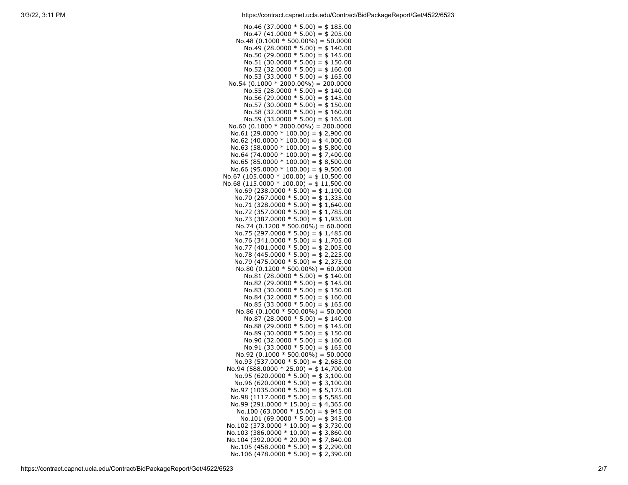No.46 (37.0000  $*$  5.00) = \$185.00 No.47 (41.0000  $*$  5.00) = \$205.00  $No.48$  (0.1000  $*$  500.00%) = 50.0000 No.49 (28.0000  $*$  5.00) = \$140.00 No.50 (29.0000  $*$  5.00) = \$145.00  $No.51$  (30.0000  $*$  5.00) = \$150.00 No.52 (32.0000  $*$  5.00) = \$160.00 No.53 (33.0000  $*$  5.00) = \$165.00  $No.54 (0.1000 * 2000.00\%) = 200.0000$ No.55 (28.0000  $*$  5.00) = \$140.00 No.56 (29.0000  $*$  5.00) = \$145.00 No.57 (30.0000  $*$  5.00) = \$150.00 No.58 (32.0000  $*$  5.00) = \$160.00 No.59 (33.0000  $*$  5.00) = \$165.00  $No.60$  (0.1000  $*$  2000.00%) = 200.0000 No.61 (29.0000  $*$  100.00) = \$ 2,900.00 No.62 (40.0000  $*$  100.00) = \$4,000.00 No.63 (58.0000  $*$  100.00) = \$ 5,800.00 No.64 (74.0000  $*$  100.00) = \$7,400.00 No.65 (85.0000  $*$  100.00) = \$ 8,500.00 No.66 (95.0000  $*$  100.00) = \$9,500.00 No.67 (105.0000  $*$  100.00) = \$ 10,500.00 No.68 (115.0000  $*$  100.00) = \$11,500.00 No.69 (238.0000  $*$  5.00) = \$1,190.00 No.70 (267.0000  $*$  5.00) = \$ 1,335.00 No.71 (328.0000  $*$  5.00) = \$1,640.00 No.72 (357.0000  $*$  5.00) = \$1,785.00 No.73 (387.0000  $*$  5.00) = \$1,935.00  $No.74$  (0.1200  $*$  500.00%) = 60.0000 No.75 (297.0000  $*$  5.00) = \$1,485.00 No.76 (341.0000  $*$  5.00) = \$ 1,705.00 No.77 (401.0000  $*$  5.00) = \$ 2,005.00 No.78 (445.0000  $*$  5.00) = \$ 2,225.00 No.79 (475.0000  $*$  5.00) = \$ 2,375.00  $No.80$  (0.1200  $*$  500.00%) = 60.0000 No.81 (28.0000  $*$  5.00) = \$140.00 No.82 (29.0000  $*$  5.00) = \$145.00 No.83 (30.0000  $*$  5.00) = \$150.00 No.84 (32.0000  $*$  5.00) = \$160.00 No.85  $(33.0000 * 5.00) = $165.00$ No.86  $(0.1000 * 500.00%) = 50.0000$ No.87 (28.0000  $*$  5.00) = \$140.00 No.88 (29.0000  $*$  5.00) = \$145.00 No.89 (30.0000  $*$  5.00) = \$150.00 No.90 (32.0000  $*$  5.00) = \$160.00 No.91 (33.0000  $*$  5.00) = \$165.00  $No.92$  (0.1000  $*$  500.00%) = 50.0000 No.93 (537.0000  $*$  5.00) = \$ 2,685.00 No.94 (588.0000  $*$  25.00) = \$14,700.00 No.95 (620.0000  $*$  5.00) = \$ 3,100.00 No.96 (620.0000  $*$  5.00) = \$3,100.00 No.97 (1035.0000  $*$  5.00) = \$ 5,175.00 No.98  $(1117.0000 * 5.00) = $5,585.00$ No.99 (291.0000  $*$  15.00) = \$4,365.00 No.100 (63.0000  $*$  15.00) = \$945.00 No.101 (69.0000  $*$  5.00) = \$345.00 No.102 (373.0000  $*$  10.00) = \$3,730.00 No.103 (386.0000  $*$  10.00) = \$3,860.00 No.104 (392.0000  $*$  20.00) = \$7,840.00 No.105 (458.0000  $*$  5.00) = \$ 2,290.00 No.106 (478.0000  $*$  5.00) = \$ 2,390.00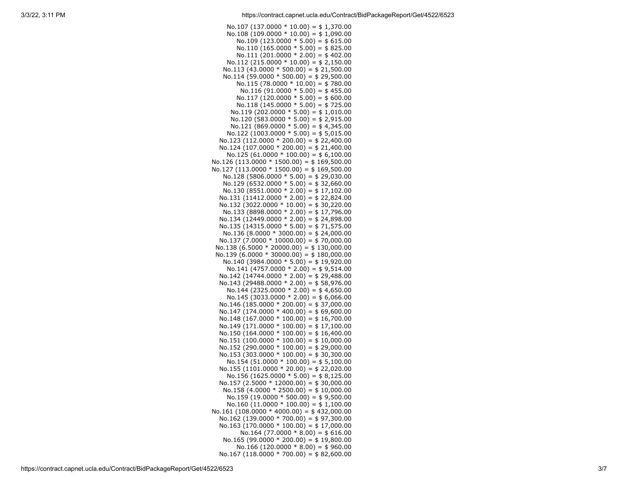| $No.107 (137.0000 * 10.00) = $1,370.00$                                                 |
|-----------------------------------------------------------------------------------------|
| No.108 (109.0000 $*$ 10.00) = \$1,090.00                                                |
| No.109 (123.0000 $*$ 5.00) = \$615.00                                                   |
| No.110 (165.0000 $*$ 5.00) = \$825.00                                                   |
| No.111 (201.0000 $*$ 2.00) = \$402.00                                                   |
| No.112 (215.0000 $*$ 10.00) = \$ 2,150.00                                               |
| No.113 (43.0000 $*$ 500.00) = \$21,500.00                                               |
| No.114 (59.0000 $*$ 500.00) = \$29,500.00<br>No.115 (78.0000 $*$ 10.00) = \$780.00      |
| No.116 (91.0000 $*$ 5.00) = \$455.00                                                    |
| No.117 (120.0000 $*$ 5.00) = \$600.00                                                   |
| No.118 (145.0000 $*$ 5.00) = \$725.00                                                   |
| No.119 (202.0000 $*$ 5.00) = \$1,010.00                                                 |
| No.120 (583.0000 $*$ 5.00) = \$ 2,915.00                                                |
| No.121 (869.0000 $*$ 5.00) = \$4,345.00                                                 |
| No.122 (1003.0000 $*$ 5.00) = \$5,015.00                                                |
| No.123 (112.0000 * 200.00) = \$22,400.00                                                |
| No.124 (107.0000 * 200.00) = $$21,400.00$                                               |
| $No.125 (61.0000 * 100.00) = $6,100.00$                                                 |
| $No.126(113.0000 * 1500.00) = $169,500.00$                                              |
| $No.127 (113.0000 * 1500.00) = $169,500.00$<br>No.128 (5806.0000 * 5.00) = \$ 29,030.00 |
| No.129 (6532.0000 $*$ 5.00) = \$32,660.00                                               |
| No.130 (8551.0000 * 2.00) = \$17,102.00                                                 |
| No.131 (11412.0000 $*$ 2.00) = \$22,824.00                                              |
| No.132 (3022.0000 * 10.00) = $$30,220.00$                                               |
| No.133 (8898.0000 $*$ 2.00) = \$17,796.00                                               |
| No.134 (12449.0000 $*$ 2.00) = \$24,898.00                                              |
| No.135 (14315.0000 $*$ 5.00) = \$71,575.00                                              |
| No.136 (8.0000 $*$ 3000.00) = \$24,000.00                                               |
| No.137 (7.0000 * 10000.00) = \$70,000.00                                                |
| No.138 (6.5000 * 20000.00) = \$130,000.00                                               |
| No.139 $(6.0000 * 30000.00) = $180,000.00$                                              |
| No.140 (3984.0000 $*$ 5.00) = \$19,920.00<br>No.141 (4757.0000 $*$ 2.00) = \$9,514.00   |
| No.142 (14744.0000 $*$ 2.00) = \$ 29,488.00                                             |
| No.143 (29488.0000 $*$ 2.00) = \$58,976.00                                              |
| No.144 (2325.0000 $*$ 2.00) = \$4,650.00                                                |
| No.145 (3033.0000 $*$ 2.00) = \$6,066.00                                                |
| No.146 (185.0000 * 200.00) = $$37,000.00$                                               |
| No.147 $(174.0000 * 400.00) = $69,600.00$                                               |
| No.148 $(167.0000 * 100.00) = $16,700.00$                                               |
| No.149 $(171.0000 * 100.00) = $17,100.00$                                               |
| No.150 $(164.0000 * 100.00) = $16,400.00$                                               |
| No.151 (100.0000 $*$ 100.00) = \$10,000.00<br>No.152 (290.0000 * 100.00) = \$29,000.00  |
| No.153 (303.0000 $*$ 100.00) = \$30,300.00                                              |
| No.154 (51.0000 $*$ 100.00) = \$5,100.00                                                |
| No.155 (1101.0000 * 20.00) = \$22,020.00                                                |
| No.156 (1625.0000 $*$ 5.00) = \$8,125.00                                                |
| No.157 (2.5000 * 12000.00) = \$30,000.00                                                |
| No.158 $(4.0000 * 2500.00) = $10,000.00$                                                |
| No.159 (19.0000 $*$ 500.00) = \$9,500.00                                                |
| No.160 $(11.0000 * 100.00) = $1,100.00$                                                 |
| $No.161 (108.0000 * 4000.00) = $432,000.00$                                             |
| No.162 (139.0000 * 700.00) = \$97,300.00                                                |
| No.163 (170.0000 * 100.00) = $$ 17,000.00$<br>No.164 (77.0000 $*$ 8.00) = \$616.00      |
| No.165 (99.0000 $*$ 200.00) = \$19,800.00                                               |
| No.166 (120.0000 $*$ 8.00) = \$960.00                                                   |
| No.167 (118.0000 * 700.00) = $$82,600.00$                                               |
|                                                                                         |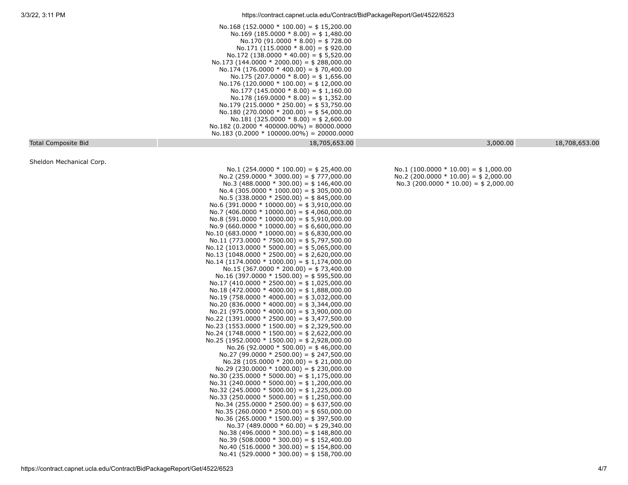|                            | No.168 (152.0000 $*$ 100.00) = \$15,200.00<br>No.169 (185.0000 $*$ 8.00) = \$1,480.00<br>No.170 (91.0000 $*$ 8.00) = \$728.00<br>$No.171$ (115.0000 $* 8.00$ ) = \$920.00<br>No.172 (138.0000 * 40.00) = \$5,520.00<br>No.173 (144.0000 $*$ 2000.00) = \$ 288,000.00<br>No.174 (176.0000 * 400.00) = \$70,400.00<br>No.175 (207.0000 $*$ 8.00) = \$1,656.00<br>$No.176(120.0000 * 100.00) = $12,000.00$<br>No.177 (145.0000 $*$ 8.00) = \$1,160.00<br>No.178 (169.0000 $*$ 8.00) = \$1,352.00<br>No.179 (215.0000 * 250.00) = \$53,750.00<br>No.180 (270.0000 $*$ 200.00) = \$54,000.00<br>No.181 (325.0000 $*$ 8.00) = \$ 2,600.00<br>$No.182$ (0.2000 * 400000.00%) = 80000.0000<br>$No.183 (0.2000 * 100000.00\%) = 20000.0000$                                                                                                                                                                                                                                                                                                                                                                                                                                                                                                                                                                                                                                                                                                                                                                                                                                                                                                                                                                                                                                                                                                                                                                                                                                                                              |                                                                                                                             |               |
|----------------------------|-----------------------------------------------------------------------------------------------------------------------------------------------------------------------------------------------------------------------------------------------------------------------------------------------------------------------------------------------------------------------------------------------------------------------------------------------------------------------------------------------------------------------------------------------------------------------------------------------------------------------------------------------------------------------------------------------------------------------------------------------------------------------------------------------------------------------------------------------------------------------------------------------------------------------------------------------------------------------------------------------------------------------------------------------------------------------------------------------------------------------------------------------------------------------------------------------------------------------------------------------------------------------------------------------------------------------------------------------------------------------------------------------------------------------------------------------------------------------------------------------------------------------------------------------------------------------------------------------------------------------------------------------------------------------------------------------------------------------------------------------------------------------------------------------------------------------------------------------------------------------------------------------------------------------------------------------------------------------------------------------------------------|-----------------------------------------------------------------------------------------------------------------------------|---------------|
| <b>Total Composite Bid</b> | 18,705,653.00                                                                                                                                                                                                                                                                                                                                                                                                                                                                                                                                                                                                                                                                                                                                                                                                                                                                                                                                                                                                                                                                                                                                                                                                                                                                                                                                                                                                                                                                                                                                                                                                                                                                                                                                                                                                                                                                                                                                                                                                   | 3,000.00                                                                                                                    | 18,708,653.00 |
| Sheldon Mechanical Corp.   | No.1 (254.0000 $*$ 100.00) = \$25,400.00<br>No.2 (259.0000 $*$ 3000.00) = \$777,000.00<br>No.3 (488.0000 $*$ 300.00) = \$146,400.00<br>No.4 (305.0000 $*$ 1000.00) = \$305,000.00<br>No.5 (338.0000 * 2500.00) = $$845,000.00$<br>No.6 (391.0000 $*$ 10000.00) = \$3,910,000.00<br>No.7 (406.0000 * 10000.00) = \$4,060,000.00<br>No.8 (591.0000 $*$ 10000.00) = \$5,910,000.00<br>No.9 (660.0000 * 10000.00) = \$ 6,600,000.00<br>No.10 (683.0000 $*$ 10000.00) = \$ 6,830,000.00<br>No.11 (773.0000 * 7500.00) = $$ 5,797,500.00$<br>No.12 (1013.0000 $*$ 5000.00) = \$ 5,065,000.00<br>No.13 (1048.0000 * 2500.00) = $$2,620,000.00$<br>No.14 (1174.0000 $*$ 1000.00) = \$ 1,174,000.00<br>No.15 (367.0000 * 200.00) = $$73,400.00$<br>No.16 (397.0000 $*$ 1500.00) = \$595,500.00<br>No.17 (410.0000 * 2500.00) = \$ 1,025,000.00<br>No.18 (472.0000 $*$ 4000.00) = \$1,888,000.00<br>No.19 (758.0000 * 4000.00) = \$3,032,000.00<br>No.20 (836.0000 * 4000.00) = \$3,344,000.00<br>No.21 (975.0000 * 4000.00) = \$3,900,000.00<br>No.22 (1391.0000 * 2500.00) = \$3,477,500.00<br>No.23 (1553.0000 * 1500.00) = \$ 2,329,500.00<br>No.24 (1748.0000 $*$ 1500.00) = \$ 2,622,000.00<br>No.25 (1952.0000 * 1500.00) = $$2,928,000.00$<br>$No.26$ (92.0000 $*$ 500.00) = \$46,000.00<br>No.27 (99.0000 * 2500.00) = $$247,500.00$<br>No.28 (105.0000 * 200.00) = \$ 21,000.00<br>No.29 (230.0000 $*$ 1000.00) = \$ 230,000.00<br>No.30 (235.0000 * 5000.00) = $$1,175,000.00$<br>No.31 (240.0000 * 5000.00) = $$1,200,000.00$<br>No.32 (245.0000 * 5000.00) = \$1,225,000.00<br>No.33 (250.0000 $*$ 5000.00) = \$1,250,000.00<br>No.34 (255.0000 $*$ 2500.00) = \$637,500.00<br>No.35 (260.0000 * 2500.00) = \$650,000.00<br>No.36 (265.0000 $*$ 1500.00) = \$397,500.00<br>No.37 (489.0000 $*$ 60.00) = \$ 29,340.00<br>No.38 (496.0000 $*$ 300.00) = \$148,800.00<br>No.39 (508.0000 $*$ 300.00) = \$152,400.00<br>No.40 (516.0000 $*$ 300.00) = \$154,800.00<br>No.41 (529.0000 $*$ 300.00) = \$158,700.00 | No.1 (100.0000 $*$ 10.00) = \$ 1,000.00<br>No.2 (200.0000 $*$ 10.00) = \$ 2,000.00<br>$No.3 (200.0000 * 10.00) = $2,000.00$ |               |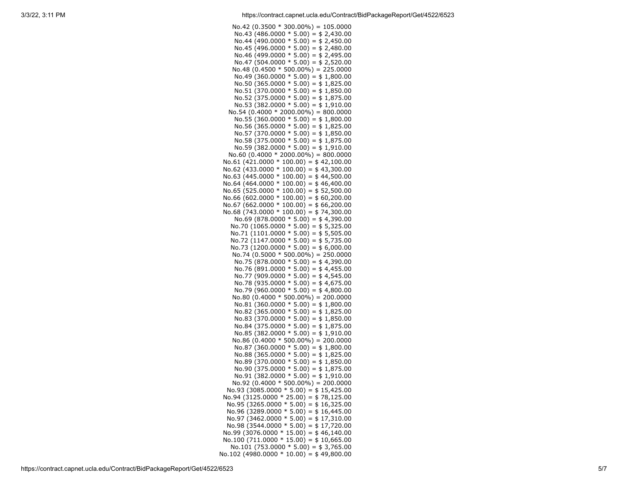| No.42 (0.3500 $*$ 300.00%) = 105.0000                                               |
|-------------------------------------------------------------------------------------|
| No.43 (486.0000 $*$ 5.00) = \$ 2,430.00                                             |
| No.44 (490.0000 $*$ 5.00) = \$ 2,450.00                                             |
| No.45 (496.0000 $*$ 5.00) = \$2,480.00                                              |
| No.46 (499.0000 $*$ 5.00) = \$ 2,495.00                                             |
| No.47 (504.0000 $*$ 5.00) = \$ 2,520.00                                             |
| No.48 $(0.4500 * 500.00\%) = 225.0000$                                              |
| No.49 (360.0000 $*$ 5.00) = \$1,800.00<br>No.50 (365.0000 $*$ 5.00) = \$1,825.00    |
| No.51 (370.0000 $*$ 5.00) = \$1,850.00                                              |
| No.52 (375.0000 $*$ 5.00) = \$1,875.00                                              |
| No.53 (382.0000 $*$ 5.00) = \$1,910.00                                              |
| No.54 $(0.4000 * 2000.00%) = 800.0000$                                              |
| No.55 (360.0000 $*$ 5.00) = \$1,800.00                                              |
| No.56 (365.0000 $*$ 5.00) = \$1,825.00                                              |
| No.57 (370.0000 $*$ 5.00) = \$1,850.00                                              |
| No.58 (375.0000 $*$ 5.00) = \$1,875.00                                              |
| No.59 (382.0000 $*$ 5.00) = \$1,910.00<br>No.60 $(0.4000 * 2000.00%) = 800.0000$    |
| No.61 (421.0000 * 100.00) = $$42,100.00$                                            |
| No.62 (433.0000 * 100.00) = $$43,300.00$                                            |
| No.63 (445.0000 $*$ 100.00) = \$44,500.00                                           |
| No.64 (464.0000 * 100.00) = $$46,400.00$                                            |
| No.65 (525.0000 * 100.00) = $$ 52,500.00$                                           |
| No.66 (602.0000 * 100.00) = $$60,200.00$                                            |
| No.67 (662.0000 $*$ 100.00) = \$66,200.00                                           |
| No.68 (743.0000 $*$ 100.00) = \$74,300.00                                           |
| No.69 (878.0000 $*$ 5.00) = \$4,390.00<br>No.70 $(1065.0000 * 5.00) = $5,325.00$    |
| No.71 $(1101.0000 * 5.00) = $5,505.00$                                              |
| No.72 $(1147.0000 * 5.00) = $5,735.00$                                              |
| No.73 (1200.0000 $*$ 5.00) = \$6,000.00                                             |
| No.74 (0.5000 $*$ 500.00%) = 250.0000                                               |
| No.75 (878.0000 $*$ 5.00) = \$4,390.00                                              |
| No.76 (891.0000 $*$ 5.00) = \$4,455.00                                              |
| No.77 (909.0000 $*$ 5.00) = \$4,545.00                                              |
| No.78 (935.0000 $*$ 5.00) = \$4,675.00<br>No.79 (960.0000 $*$ 5.00) = \$4,800.00    |
| No.80 $(0.4000 * 500.00\%) = 200.0000$                                              |
| No.81 (360.0000 $*$ 5.00) = \$1,800.00                                              |
| No.82 (365.0000 $*$ 5.00) = \$1,825.00                                              |
| No.83 (370.0000 $*$ 5.00) = \$1,850.00                                              |
| No.84 (375.0000 $*$ 5.00) = \$1,875.00                                              |
| No.85 (382.0000 $*$ 5.00) = \$1,910.00                                              |
| No.86 (0.4000 $*$ 500.00%) = 200.0000                                               |
| No.87 (360.0000 $*$ 5.00) = \$1,800.00<br>No.88 (365.0000 $*$ 5.00) = \$1,825.00    |
| No.89 (370.0000 $*$ 5.00) = \$1,850.00                                              |
| No.90 (375.0000 $*$ 5.00) = \$1,875.00                                              |
| No.91 (382.0000 $*$ 5.00) = \$1,910.00                                              |
| No.92 (0.4000 $*$ 500.00%) = 200.0000                                               |
| No.93 (3085.0000 $*$ 5.00) = \$15,425.00                                            |
| No.94 (3125.0000 * 25.00) = \$78,125.00                                             |
| No.95 (3265.0000 $*$ 5.00) = \$16,325.00                                            |
| No.96 (3289.0000 $*$ 5.00) = \$16,445.00                                            |
| No.97 (3462.0000 $*$ 5.00) = \$17,310.00<br>No.98 $(3544.0000 * 5.00) = $17,720.00$ |
| No.99 (3076.0000 $*$ 15.00) = \$46,140.00                                           |
| No.100 (711.0000 * 15.00) = \$10,665.00                                             |
| No.101 (753.0000 $*$ 5.00) = \$3,765.00                                             |
| No.102 (4980.0000 * 10.00) = $$49,800.00$                                           |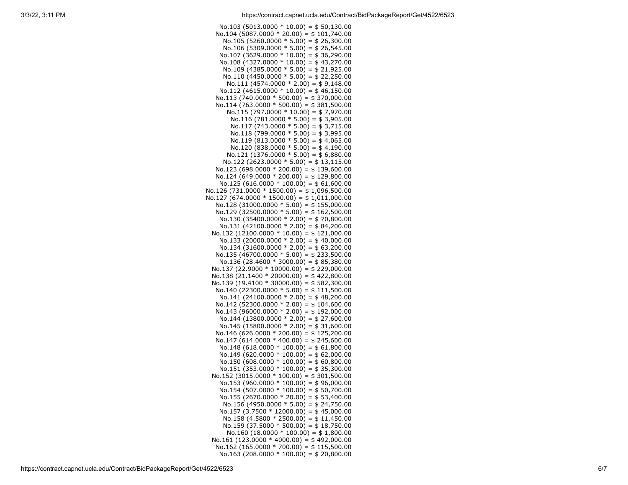| No.103 (5013.0000 $*$ 10.00) = \$50,130.00    |
|-----------------------------------------------|
|                                               |
| No.104 (5087.0000 $*$ 20.00) = \$101,740.00   |
| No.105 (5260.0000 $*$ 5.00) = \$ 26,300.00    |
| No.106 (5309.0000 $*$ 5.00) = \$26,545.00     |
|                                               |
| No.107 (3629.0000 * 10.00) = $$36,290.00$     |
| No.108 (4327.0000 $*$ 10.00) = \$43,270.00    |
|                                               |
| No.109 (4385.0000 $*$ 5.00) = \$ 21,925.00    |
| No.110 (4450.0000 $*$ 5.00) = \$22,250.00     |
|                                               |
| No.111 (4574.0000 $*$ 2.00) = \$9,148.00      |
| No.112 (4615.0000 $*$ 10.00) = \$46,150.00    |
| No.113 (740.0000 $*$ 500.00) = \$370,000.00   |
|                                               |
| $No.114 (763.0000 * 500.00) = $381,500.00$    |
| No.115 (797.0000 $*$ 10.00) = \$7,970.00      |
|                                               |
| No.116 (781.0000 $*$ 5.00) = \$3,905.00       |
| No.117 (743.0000 $*$ 5.00) = \$3,715.00       |
|                                               |
| No.118 (799.0000 $*$ 5.00) = \$3,995.00       |
| No.119 (813.0000 $*$ 5.00) = \$4,065.00       |
| No.120 (838.0000 $*$ 5.00) = \$4,190.00       |
|                                               |
| No.121 (1376.0000 $*$ 5.00) = \$6,880.00      |
| No.122 (2623.0000 $*$ 5.00) = \$13,115.00     |
|                                               |
| $No.123 (698.0000 * 200.00) = $139,600.00$    |
| No.124 (649.0000 * 200.00) = \$129,800.00     |
|                                               |
| No.125 (616.0000 $*$ 100.00) = \$61,600.00    |
| $No.126 (731.0000 * 1500.00) = $1,096,500.00$ |
| $No.127 (674.0000 * 1500.00) = $1,011,000.00$ |
|                                               |
| $No.128 (31000.0000 * 5.00) = $155,000.00$    |
| No.129 (32500.0000 $*$ 5.00) = \$162,500.00   |
| No.130 (35400.0000 $*$ 2.00) = \$70,800.00    |
|                                               |
| No.131 (42100.0000 $*$ 2.00) = \$84,200.00    |
| No.132 (12100.0000 * 10.00) = \$121,000.00    |
|                                               |
| No.133 (20000.0000 $*$ 2.00) = \$40,000.00    |
| No.134 (31600.0000 $*$ 2.00) = \$63,200.00    |
| No.135 (46700.0000 $*$ 5.00) = \$233,500.00   |
|                                               |
| No.136 (28.4600 $*$ 3000.00) = \$85,380.00    |
| No.137 (22.9000 * 10000.00) = \$ 229,000.00   |
|                                               |
| No.138 (21.1400 * 20000.00) = \$422,800.00    |
| No.139 (19.4100 $*$ 30000.00) = \$582,300.00  |
| No.140 (22300.0000 $*$ 5.00) = \$111,500.00   |
|                                               |
| $No.141 (24100.0000 * 2.00) = $48,200.00$     |
| No.142 (52300.0000 $*$ 2.00) = \$104,600.00   |
| No.143 (96000.0000 * 2.00) = \$192,000.00     |
|                                               |
| No.144 (13800.0000 $*$ 2.00) = \$27,600.00    |
| No.145 (15800.0000 $*$ 2.00) = \$31,600.00    |
|                                               |
| $No.146 (626.0000 * 200.00) = $ 125,200.00$   |
| $No.147 (614.0000 * 400.00) = $245,600.00$    |
| No.148 (618.0000 $*$ 100.00) = \$61,800.00    |
|                                               |
| No.149 (620.0000 $*$ 100.00) = \$62,000.00    |
| No.150 (608.0000 $*$ 100.00) = \$60,800.00    |
|                                               |
| No.151 (353.0000 * 100.00) = \$35,300.00      |
| No.152 (3015.0000 * 100.00) = \$301,500.00    |
| No.153 (960.0000 $*$ 100.00) = \$96,000.00    |
|                                               |
| No.154 (507.0000 $*$ 100.00) = \$50,700.00    |
| No.155 (2670.0000 * 20.00) = \$53,400.00      |
| No.156 (4950.0000 $*$ 5.00) = \$24,750.00     |
|                                               |
| No.157 (3.7500 $*$ 12000.00) = \$45,000.00    |
| No.158 $(4.5800 * 2500.00) = $11,450.00$      |
|                                               |
| No.159 (37.5000 * 500.00) = \$18,750.00       |
| No.160 $(18.0000 * 100.00) = $1,800.00$       |
| No.161 (123.0000 * 4000.00) = \$492,000.00    |
|                                               |
| No.162 (165.0000 * 700.00) = \$115,500.00     |
| No.163 (208.0000 * 100.00) = \$20,800.00      |
|                                               |